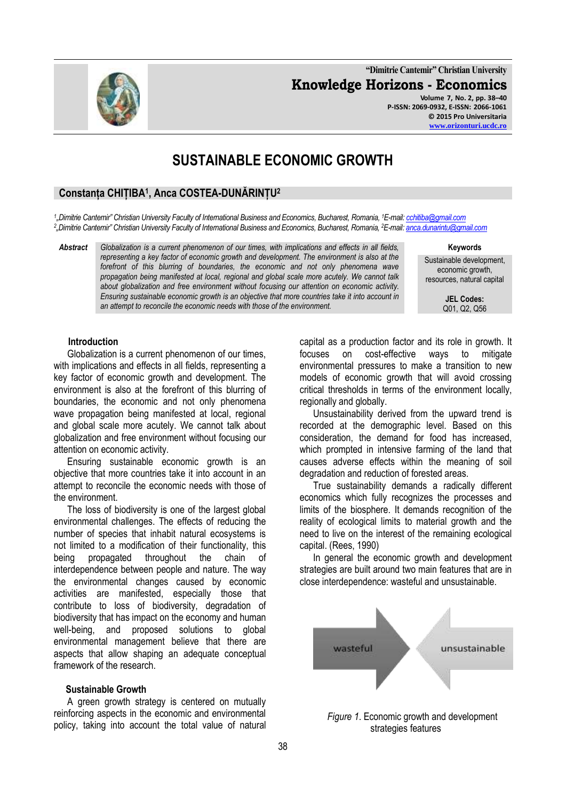**"Dimitrie Cantemir" Christian University Knowledge Horizons - Economics Volume 7, No. 2, pp. 38–40 P-ISSN: 2069-0932, E-ISSN: 2066-1061**

# **SUSTAINABLE ECONOMIC GROWTH**

## **Constanța CHIȚIBA<sup>1</sup> , Anca COSTEA-DUNĂRINȚU<sup>2</sup>**

*1 "Dimitrie Cantemir" Christian University Faculty of International Business and Economics, Bucharest, Romania, <sup>1</sup>E-mail[: cchitiba@gmail.com](mailto:cchitiba@gmail.com) 2 "Dimitrie Cantemir" Christian University Faculty of International Business and Economics, Bucharest, Romania, <sup>2</sup>E-mail[: anca.dunarintu@gmail.com](mailto:anca.dunarintu@gmail.com)* 

*Abstract Globalization is a current phenomenon of our times, with implications and effects in all fields, representing a key factor of economic growth and development. The environment is also at the forefront of this blurring of boundaries, the economic and not only phenomena wave propagation being manifested at local, regional and global scale more acutely. We cannot talk about globalization and free environment without focusing our attention on economic activity. Ensuring sustainable economic growth is an objective that more countries take it into account in an attempt to reconcile the economic needs with those of the environment.*

**Keywords**

Sustainable development, economic growth, resources, natural capital

> **JEL Codes:** Q01, Q2, Q56

#### **Introduction**

Globalization is a current phenomenon of our times, with implications and effects in all fields, representing a key factor of economic growth and development. The environment is also at the forefront of this blurring of boundaries, the economic and not only phenomena wave propagation being manifested at local, regional and global scale more acutely. We cannot talk about globalization and free environment without focusing our attention on economic activity.

Ensuring sustainable economic growth is an objective that more countries take it into account in an attempt to reconcile the economic needs with those of the environment.

The loss of biodiversity is one of the largest global environmental challenges. The effects of reducing the number of species that inhabit natural ecosystems is not limited to a modification of their functionality, this being propagated throughout the chain of interdependence between people and nature. The way the environmental changes caused by economic activities are manifested, especially those that contribute to loss of biodiversity, degradation of biodiversity that has impact on the economy and human well-being, and proposed solutions to global environmental management believe that there are aspects that allow shaping an adequate conceptual framework of the research.

#### **Sustainable Growth**

A green growth strategy is centered on mutually reinforcing aspects in the economic and environmental policy, taking into account the total value of natural capital as a production factor and its role in growth. It focuses on cost-effective ways to mitigate environmental pressures to make a transition to new models of economic growth that will avoid crossing critical thresholds in terms of the environment locally, regionally and globally.

Unsustainability derived from the upward trend is recorded at the demographic level. Based on this consideration, the demand for food has increased, which prompted in intensive farming of the land that causes adverse effects within the meaning of soil degradation and reduction of forested areas.

True sustainability demands a radically different economics which fully recognizes the processes and limits of the biosphere. It demands recognition of the reality of ecological limits to material growth and the need to live on the interest of the remaining ecological capital. (Rees, 1990)

In general the economic growth and development strategies are built around two main features that are in close interdependence: wasteful and unsustainable.



*Figure 1*. Economic growth and development strategies features

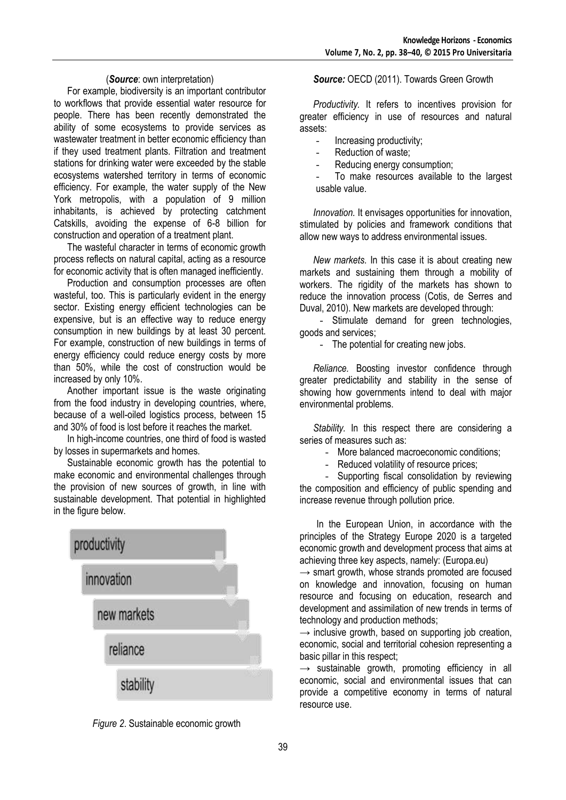## (*Source*: own interpretation)

For example, biodiversity is an important contributor to workflows that provide essential water resource for people. There has been recently demonstrated the ability of some ecosystems to provide services as wastewater treatment in better economic efficiency than if they used treatment plants. Filtration and treatment stations for drinking water were exceeded by the stable ecosystems watershed territory in terms of economic efficiency. For example, the water supply of the New York metropolis, with a population of 9 million inhabitants, is achieved by protecting catchment Catskills, avoiding the expense of 6-8 billion for construction and operation of a treatment plant.

The wasteful character in terms of economic growth process reflects on natural capital, acting as a resource for economic activity that is often managed inefficiently.

Production and consumption processes are often wasteful, too. This is particularly evident in the energy sector. Existing energy efficient technologies can be expensive, but is an effective way to reduce energy consumption in new buildings by at least 30 percent. For example, construction of new buildings in terms of energy efficiency could reduce energy costs by more than 50%, while the cost of construction would be increased by only 10%.

Another important issue is the waste originating from the food industry in developing countries, where, because of a well-oiled logistics process, between 15 and 30% of food is lost before it reaches the market.

In high-income countries, one third of food is wasted by losses in supermarkets and homes.

Sustainable economic growth has the potential to make economic and environmental challenges through the provision of new sources of growth, in line with sustainable development. That potential in highlighted in the figure below.





*Source:* OECD (2011). Towards Green Growth

*Productivity.* It refers to incentives provision for greater efficiency in use of resources and natural assets:

- Increasing productivity;
- Reduction of waste:
- Reducing energy consumption;
- To make resources available to the largest usable value.

*Innovation.* It envisages opportunities for innovation, stimulated by policies and framework conditions that allow new ways to address environmental issues.

*New markets.* In this case it is about creating new markets and sustaining them through a mobility of workers. The rigidity of the markets has shown to reduce the innovation process (Cotis, de Serres and Duval, 2010). New markets are developed through:

- Stimulate demand for green technologies, goods and services;

- The potential for creating new jobs.

*Reliance.* Boosting investor confidence through greater predictability and stability in the sense of showing how governments intend to deal with major environmental problems.

*Stability.* In this respect there are considering a series of measures such as:

More balanced macroeconomic conditions;

- Reduced volatility of resource prices;

- Supporting fiscal consolidation by reviewing the composition and efficiency of public spending and increase revenue through pollution price.

 In the European Union, in accordance with the principles of the Strategy Europe 2020 is a targeted economic growth and development process that aims at achieving three key aspects, namely: (Europa.eu)

 $\rightarrow$  smart growth, whose strands promoted are focused on knowledge and innovation, focusing on human resource and focusing on education, research and development and assimilation of new trends in terms of technology and production methods;

 $\rightarrow$  inclusive growth, based on supporting job creation, economic, social and territorial cohesion representing a basic pillar in this respect;

 $\rightarrow$  sustainable growth, promoting efficiency in all economic, social and environmental issues that can provide a competitive economy in terms of natural resource use.